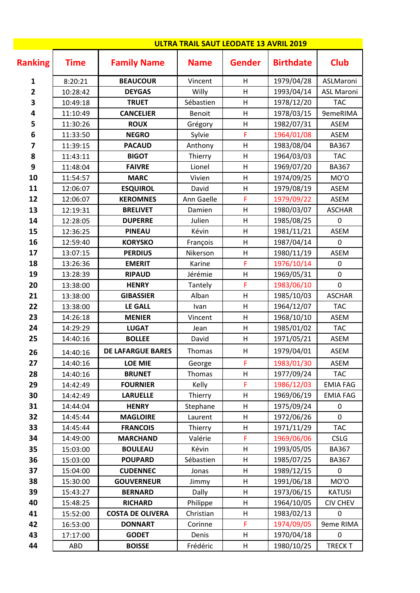|                         |             | <b>ULTRA TRAIL SAUT LEODATE 13 AVRIL 2019</b> |               |               |                  |                   |
|-------------------------|-------------|-----------------------------------------------|---------------|---------------|------------------|-------------------|
| <b>Ranking</b>          | <b>Time</b> | <b>Family Name</b>                            | <b>Name</b>   | <b>Gender</b> | <b>Birthdate</b> | <b>Club</b>       |
| 1                       | 8:20:21     | <b>BEAUCOUR</b>                               | Vincent       | H             | 1979/04/28       | ASLMaroni         |
| $\overline{\mathbf{2}}$ | 10:28:42    | <b>DEYGAS</b>                                 | Willy         | H             | 1993/04/14       | <b>ASL Maroni</b> |
| 3                       | 10:49:18    | <b>TRUET</b>                                  | Sébastien     | $\sf H$       | 1978/12/20       | <b>TAC</b>        |
| 4                       | 11:10:49    | <b>CANCELIER</b>                              | <b>Benoit</b> | H             | 1978/03/15       | 9emeRIMA          |
| 5                       | 11:30:26    | <b>ROUX</b>                                   | Grégory       | Н             | 1982/07/31       | <b>ASEM</b>       |
| 6                       | 11:33:50    | <b>NEGRO</b>                                  | Sylvie        | F             | 1964/01/08       | <b>ASEM</b>       |
| 7                       | 11:39:15    | <b>PACAUD</b>                                 | Anthony       | $\mathsf{H}$  | 1983/08/04       | <b>BA367</b>      |
| 8                       | 11:43:11    | <b>BIGOT</b>                                  | Thierry       | H             | 1964/03/03       | <b>TAC</b>        |
| 9                       | 11:48:04    | <b>FAIVRE</b>                                 | Lionel        | $\sf H$       | 1969/07/20       | <b>BA367</b>      |
| 10                      | 11:54:57    | <b>MARC</b>                                   | Vivien        | $\sf H$       | 1974/09/25       | MO'O              |
| 11                      | 12:06:07    | <b>ESQUIROL</b>                               | David         | $\sf H$       | 1979/08/19       | <b>ASEM</b>       |
| 12                      | 12:06:07    | <b>KEROMNES</b>                               | Ann Gaelle    | F             | 1979/09/22       | ASEM              |
| 13                      | 12:19:31    | <b>BRELIVET</b>                               | Damien        | $\sf H$       | 1980/03/07       | <b>ASCHAR</b>     |
| 14                      | 12:28:05    | <b>DUPERRE</b>                                | Julien        | $\mathsf{H}$  | 1985/08/25       | $\mathbf 0$       |
| 15                      | 12:36:25    | <b>PINEAU</b>                                 | Kévin         | H             | 1981/11/21       | <b>ASEM</b>       |
| 16                      | 12:59:40    | <b>KORYSKO</b>                                | François      | $\sf H$       | 1987/04/14       | $\overline{0}$    |
| 17                      | 13:07:15    | <b>PERDIUS</b>                                | Nikerson      | $\sf H$       | 1980/11/19       | <b>ASEM</b>       |
| 18                      | 13:26:36    | <b>EMERIT</b>                                 | Karine        | F             | 1976/10/14       | 0                 |
| 19                      | 13:28:39    | <b>RIPAUD</b>                                 | Jérémie       | H             | 1969/05/31       | $\mathbf 0$       |
| 20                      | 13:38:00    | <b>HENRY</b>                                  | Tantely       | F             | 1983/06/10       | $\mathbf 0$       |
| 21                      | 13:38:00    | <b>GIBASSIER</b>                              | Alban         | $\mathsf{H}$  | 1985/10/03       | <b>ASCHAR</b>     |
| 22                      | 13:38:00    | <b>LE GALL</b>                                | Ivan          | $\mathsf{H}$  | 1964/12/07       | <b>TAC</b>        |
| 23                      | 14:26:18    | <b>MENIER</b>                                 | Vincent       | $\sf H$       | 1968/10/10       | <b>ASEM</b>       |
| 24                      | 14:29:29    | <b>LUGAT</b>                                  | Jean          | $\sf H$       | 1985/01/02       | <b>TAC</b>        |
| 25                      | 14:40:16    | <b>BOLLEE</b>                                 | David         | H             | 1971/05/21       | <b>ASEM</b>       |
| 26                      | 14:40:16    | <b>DE LAFARGUE BARES</b>                      | Thomas        | H             | 1979/04/01       | <b>ASEM</b>       |
| 27                      | 14:40:16    | <b>LOE MIE</b>                                | George        | F             | 1983/01/30       | <b>ASEM</b>       |
| 28                      | 14:40:16    | <b>BRUNET</b>                                 | Thomas        | $\sf H$       | 1977/09/24       | <b>TAC</b>        |
| 29                      | 14:42:49    | <b>FOURNIER</b>                               | Kelly         | F             | 1986/12/03       | <b>EMIA FAG</b>   |
| 30                      | 14:42:49    | <b>LARUELLE</b>                               | Thierry       | H             | 1969/06/19       | <b>EMIA FAG</b>   |
| 31                      | 14:44:04    | <b>HENRY</b>                                  | Stephane      | H             | 1975/09/24       | $\mathbf 0$       |
| 32                      | 14:45:44    | <b>MAGLOIRE</b>                               | Laurent       | H             | 1972/06/26       | $\mathbf 0$       |
| 33                      | 14:45:44    | <b>FRANCOIS</b>                               | Thierry       | H             | 1971/11/29       | <b>TAC</b>        |
| 34                      | 14:49:00    | <b>MARCHAND</b>                               | Valérie       | F             | 1969/06/06       | <b>CSLG</b>       |
| 35                      | 15:03:00    | <b>BOULEAU</b>                                | Kévin         | $\sf H$       | 1993/05/05       | <b>BA367</b>      |
| 36                      | 15:03:00    | <b>POUPARD</b>                                | Sébastien     | Н             | 1985/07/25       | <b>BA367</b>      |
| 37                      | 15:04:00    | <b>CUDENNEC</b>                               | Jonas         | H             | 1989/12/15       | 0                 |
| 38                      | 15:30:00    | <b>GOUVERNEUR</b>                             | Jimmy         | H             | 1991/06/18       | MO'O              |
| 39                      | 15:43:27    | <b>BERNARD</b>                                | <b>Dally</b>  | H             | 1973/06/15       | <b>KATUSI</b>     |
| 40                      | 15:48:25    | <b>RICHARD</b>                                | Philippe      | H             | 1964/10/05       | <b>CIV CHEV</b>   |
| 41                      | 15:52:00    | <b>COSTA DE OLIVERA</b>                       | Christian     | Н             | 1983/02/13       | 0                 |
| 42                      | 16:53:00    | <b>DONNART</b>                                | Corinne       | F             | 1974/09/05       | 9eme RIMA         |
| 43                      | 17:17:00    | <b>GODET</b>                                  | Denis         | Н             | 1970/04/18       | $\pmb{0}$         |
| 44                      | ABD         | <b>BOISSE</b>                                 | Frédéric      | H             | 1980/10/25       | <b>TRECK T</b>    |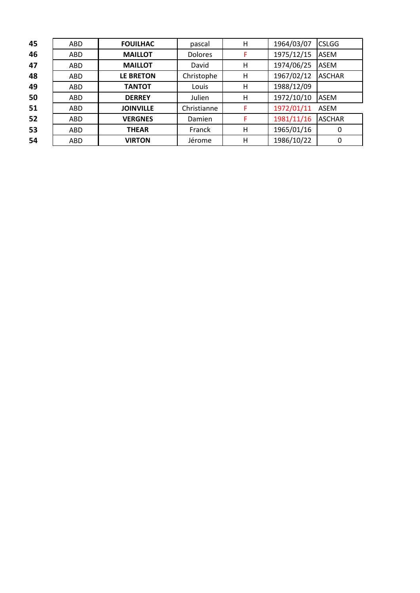| 45 | ABD | <b>FOUILHAC</b>  | pascal         | H | 1964/03/07 | <b>CSLGG</b>  |
|----|-----|------------------|----------------|---|------------|---------------|
| 46 | ABD | <b>MAILLOT</b>   | <b>Dolores</b> | F | 1975/12/15 | <b>ASEM</b>   |
| 47 | ABD | <b>MAILLOT</b>   | David          | н | 1974/06/25 | <b>ASEM</b>   |
| 48 | ABD | <b>LE BRETON</b> | Christophe     | H | 1967/02/12 | <b>ASCHAR</b> |
| 49 | ABD | <b>TANTOT</b>    | Louis          | H | 1988/12/09 |               |
| 50 | ABD | <b>DERREY</b>    | Julien         | H | 1972/10/10 | <b>ASEM</b>   |
| 51 | ABD | <b>JOINVILLE</b> | Christianne    | F | 1972/01/11 | ASEM          |
| 52 | ABD | <b>VERGNES</b>   | Damien         | F | 1981/11/16 | <b>ASCHAR</b> |
| 53 | ABD | <b>THEAR</b>     | Franck         | H | 1965/01/16 | 0             |
| 54 | ABD | <b>VIRTON</b>    | Jérome         | H | 1986/10/22 | 0             |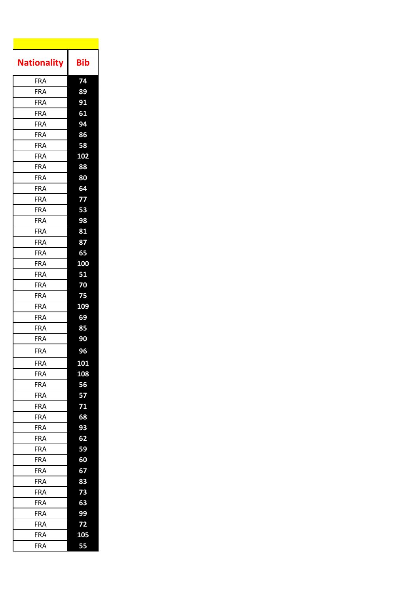| <b>Nationality</b> | Bib              |
|--------------------|------------------|
| <b>FRA</b>         | 74               |
| <b>FRA</b>         | 89               |
| FRA                | 91               |
| FRA                | 61               |
| FRA                | 94               |
| <b>FRA</b>         | 86               |
| FRA                | 58               |
| FRA                | $\overline{102}$ |
| FRA                | 88               |
| <b>FRA</b>         | 80               |
| <b>FRA</b>         | 64               |
| <b>FRA</b>         | 77               |
| <b>FRA</b>         | 53               |
| <b>FRA</b>         | 98               |
| FRA                | 81               |
| <b>FRA</b>         | 87               |
| <b>FRA</b>         | 65               |
| FRA                | 100              |
| <b>FRA</b>         | 51               |
| FRA                | 70               |
| FRA                | 75               |
| <b>FRA</b>         | $\overline{109}$ |
| <b>FRA</b>         | 69               |
| <b>FRA</b>         | 85               |
| <b>FRA</b>         | 90               |
| <b>FRA</b>         | 96               |
| <b>FRA</b>         | 101              |
| FRA                | 108              |
| FRA                | 56               |
| FRA                | 57               |
| FRA                | 71               |
| FRA                | 68               |
| FRA                | 93               |
| FRA                | 62               |
| FRA                | 59               |
| <b>FRA</b>         | 60               |
| FRA                | 67               |
| FRA                | 83               |
| FRA                | 73               |
| <b>FRA</b>         | 63               |
| FRA                | 99               |
| <b>FRA</b>         | 72               |
| FRA                | 105              |
| FRA                | 55               |